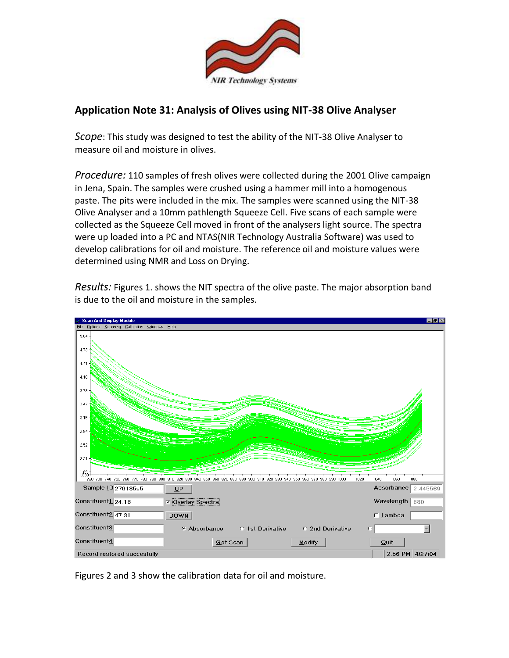

## **Application Note 31: Analysis of Olives using NIT-38 Olive Analyser**

*Scope*: This study was designed to test the ability of the NIT-38 Olive Analyser to measure oil and moisture in olives.

*Procedure:* 110 samples of fresh olives were collected during the 2001 Olive campaign in Jena, Spain. The samples were crushed using a hammer mill into a homogenous paste. The pits were included in the mix. The samples were scanned using the NIT-38 Olive Analyser and a 10mm pathlength Squeeze Cell. Five scans of each sample were collected as the Squeeze Cell moved in front of the analysers light source. The spectra were up loaded into a PC and NTAS(NIR Technology Australia Software) was used to develop calibrations for oil and moisture. The reference oil and moisture values were determined using NMR and Loss on Drying.

*Results:* Figures 1. shows the NIT spectra of the olive paste. The major absorption band is due to the oil and moisture in the samples.



Figures 2 and 3 show the calibration data for oil and moisture.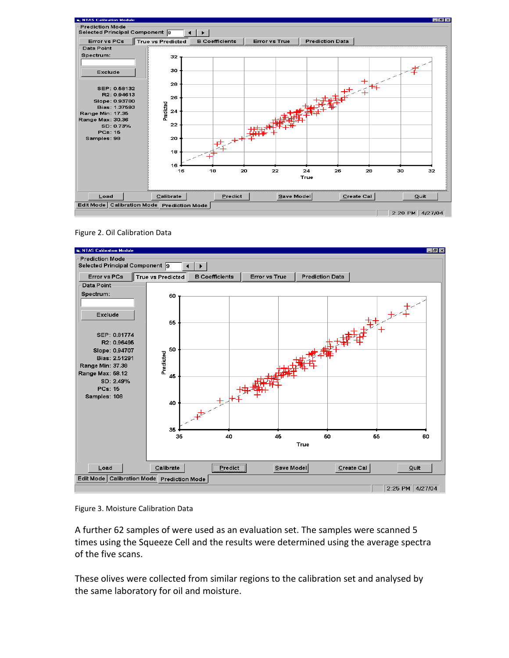

Figure 2. Oil Calibration Data



Figure 3. Moisture Calibration Data

A further 62 samples of were used as an evaluation set. The samples were scanned 5 times using the Squeeze Cell and the results were determined using the average spectra of the five scans.

These olives were collected from similar regions to the calibration set and analysed by the same laboratory for oil and moisture.